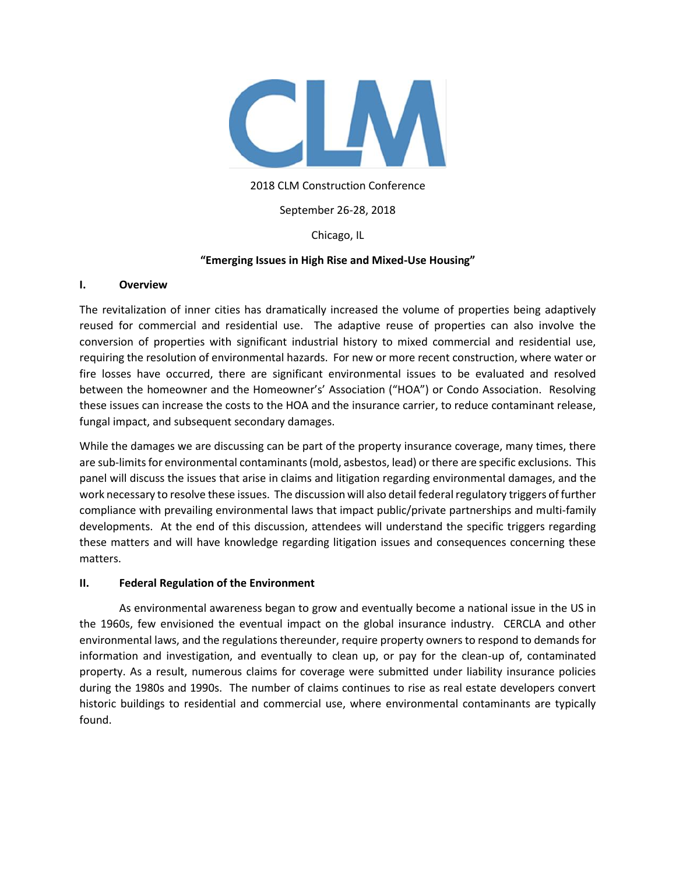

# 2018 CLM Construction Conference

September 26-28, 2018

Chicago, IL

# **"Emerging Issues in High Rise and Mixed-Use Housing"**

## **I. Overview**

The revitalization of inner cities has dramatically increased the volume of properties being adaptively reused for commercial and residential use. The adaptive reuse of properties can also involve the conversion of properties with significant industrial history to mixed commercial and residential use, requiring the resolution of environmental hazards. For new or more recent construction, where water or fire losses have occurred, there are significant environmental issues to be evaluated and resolved between the homeowner and the Homeowner's' Association ("HOA") or Condo Association. Resolving these issues can increase the costs to the HOA and the insurance carrier, to reduce contaminant release, fungal impact, and subsequent secondary damages.

While the damages we are discussing can be part of the property insurance coverage, many times, there are sub-limits for environmental contaminants (mold, asbestos, lead) or there are specific exclusions. This panel will discuss the issues that arise in claims and litigation regarding environmental damages, and the work necessary to resolve these issues. The discussion will also detail federal regulatory triggers of further compliance with prevailing environmental laws that impact public/private partnerships and multi-family developments. At the end of this discussion, attendees will understand the specific triggers regarding these matters and will have knowledge regarding litigation issues and consequences concerning these matters.

# **II. Federal Regulation of the Environment**

As environmental awareness began to grow and eventually become a national issue in the US in the 1960s, few envisioned the eventual impact on the global insurance industry. CERCLA and other environmental laws, and the regulations thereunder, require property owners to respond to demands for information and investigation, and eventually to clean up, or pay for the clean-up of, contaminated property. As a result, numerous claims for coverage were submitted under liability insurance policies during the 1980s and 1990s. The number of claims continues to rise as real estate developers convert historic buildings to residential and commercial use, where environmental contaminants are typically found.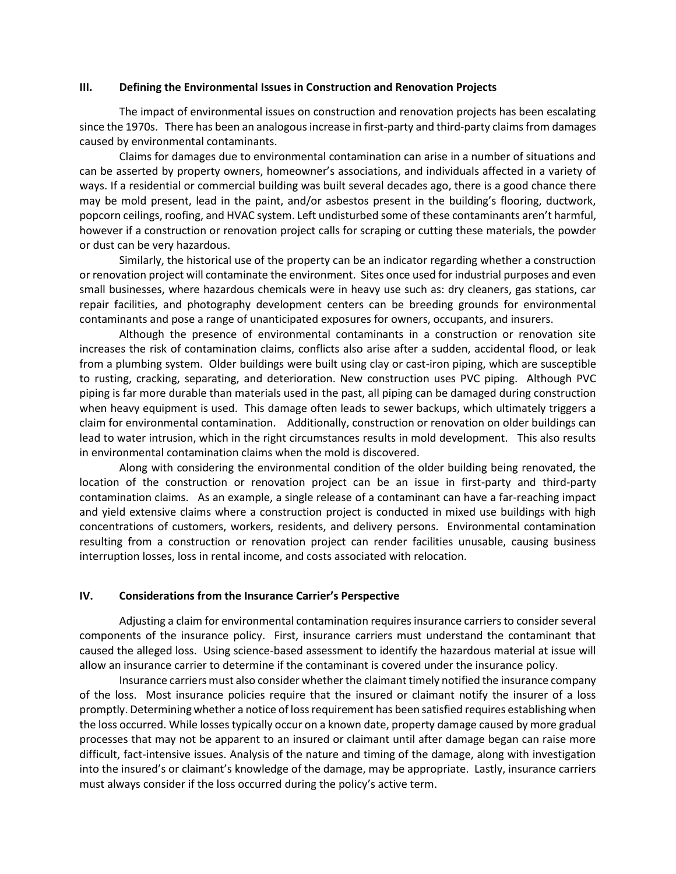### **III. Defining the Environmental Issues in Construction and Renovation Projects**

The impact of environmental issues on construction and renovation projects has been escalating since the 1970s. There has been an analogous increase in first-party and third-party claims from damages caused by environmental contaminants.

Claims for damages due to environmental contamination can arise in a number of situations and can be asserted by property owners, homeowner's associations, and individuals affected in a variety of ways. If a residential or commercial building was built several decades ago, there is a good chance there may be mold present, lead in the paint, and/or asbestos present in the building's flooring, ductwork, popcorn ceilings, roofing, and HVAC system. Left undisturbed some of these contaminants aren't harmful, however if a construction or renovation project calls for scraping or cutting these materials, the powder or dust can be very hazardous.

Similarly, the historical use of the property can be an indicator regarding whether a construction or renovation project will contaminate the environment. Sites once used for industrial purposes and even small businesses, where hazardous chemicals were in heavy use such as: dry cleaners, gas stations, car repair facilities, and photography development centers can be breeding grounds for environmental contaminants and pose a range of unanticipated exposures for owners, occupants, and insurers.

Although the presence of environmental contaminants in a construction or renovation site increases the risk of contamination claims, conflicts also arise after a sudden, accidental flood, or leak from a plumbing system. Older buildings were built using clay or cast-iron piping, which are susceptible to rusting, cracking, separating, and deterioration. New construction uses PVC piping. Although PVC piping is far more durable than materials used in the past, all piping can be damaged during construction when heavy equipment is used. This damage often leads to sewer backups, which ultimately triggers a claim for environmental contamination. Additionally, construction or renovation on older buildings can lead to water intrusion, which in the right circumstances results in mold development. This also results in environmental contamination claims when the mold is discovered.

Along with considering the environmental condition of the older building being renovated, the location of the construction or renovation project can be an issue in first-party and third-party contamination claims. As an example, a single release of a contaminant can have a far-reaching impact and yield extensive claims where a construction project is conducted in mixed use buildings with high concentrations of customers, workers, residents, and delivery persons. Environmental contamination resulting from a construction or renovation project can render facilities unusable, causing business interruption losses, loss in rental income, and costs associated with relocation.

## **IV. Considerations from the Insurance Carrier's Perspective**

Adjusting a claim for environmental contamination requires insurance carriers to consider several components of the insurance policy. First, insurance carriers must understand the contaminant that caused the alleged loss. Using science-based assessment to identify the hazardous material at issue will allow an insurance carrier to determine if the contaminant is covered under the insurance policy.

Insurance carriers must also consider whether the claimant timely notified the insurance company of the loss. Most insurance policies require that the insured or claimant notify the insurer of a loss promptly. Determining whether a notice of loss requirement has been satisfied requires establishing when the loss occurred. While losses typically occur on a known date, property damage caused by more gradual processes that may not be apparent to an insured or claimant until after damage began can raise more difficult, fact-intensive issues. Analysis of the nature and timing of the damage, along with investigation into the insured's or claimant's knowledge of the damage, may be appropriate. Lastly, insurance carriers must always consider if the loss occurred during the policy's active term.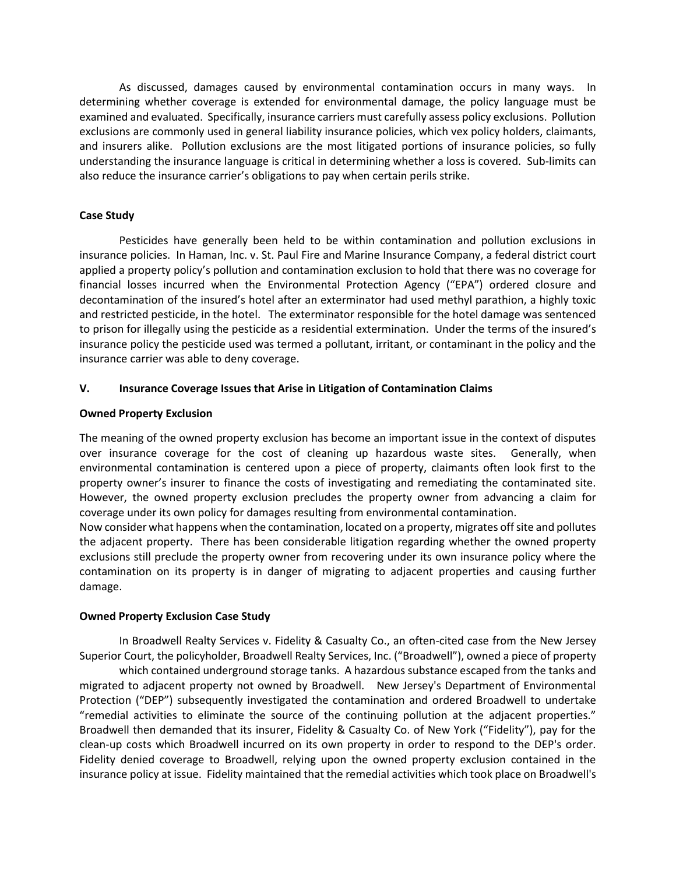As discussed, damages caused by environmental contamination occurs in many ways. In determining whether coverage is extended for environmental damage, the policy language must be examined and evaluated. Specifically, insurance carriers must carefully assess policy exclusions. Pollution exclusions are commonly used in general liability insurance policies, which vex policy holders, claimants, and insurers alike. Pollution exclusions are the most litigated portions of insurance policies, so fully understanding the insurance language is critical in determining whether a loss is covered. Sub-limits can also reduce the insurance carrier's obligations to pay when certain perils strike.

# **Case Study**

Pesticides have generally been held to be within contamination and pollution exclusions in insurance policies. In Haman, Inc. v. St. Paul Fire and Marine Insurance Company, a federal district court applied a property policy's pollution and contamination exclusion to hold that there was no coverage for financial losses incurred when the Environmental Protection Agency ("EPA") ordered closure and decontamination of the insured's hotel after an exterminator had used methyl parathion, a highly toxic and restricted pesticide, in the hotel. The exterminator responsible for the hotel damage was sentenced to prison for illegally using the pesticide as a residential extermination. Under the terms of the insured's insurance policy the pesticide used was termed a pollutant, irritant, or contaminant in the policy and the insurance carrier was able to deny coverage.

# **V. Insurance Coverage Issues that Arise in Litigation of Contamination Claims**

# **Owned Property Exclusion**

The meaning of the owned property exclusion has become an important issue in the context of disputes over insurance coverage for the cost of cleaning up hazardous waste sites. Generally, when environmental contamination is centered upon a piece of property, claimants often look first to the property owner's insurer to finance the costs of investigating and remediating the contaminated site. However, the owned property exclusion precludes the property owner from advancing a claim for coverage under its own policy for damages resulting from environmental contamination.

Now consider what happens when the contamination, located on a property, migrates off site and pollutes the adjacent property. There has been considerable litigation regarding whether the owned property exclusions still preclude the property owner from recovering under its own insurance policy where the contamination on its property is in danger of migrating to adjacent properties and causing further damage.

## **Owned Property Exclusion Case Study**

In Broadwell Realty Services v. Fidelity & Casualty Co., an often-cited case from the New Jersey Superior Court, the policyholder, Broadwell Realty Services, Inc. ("Broadwell"), owned a piece of property which contained underground storage tanks. A hazardous substance escaped from the tanks and migrated to adjacent property not owned by Broadwell. New Jersey's Department of Environmental Protection ("DEP") subsequently investigated the contamination and ordered Broadwell to undertake "remedial activities to eliminate the source of the continuing pollution at the adjacent properties." Broadwell then demanded that its insurer, Fidelity & Casualty Co. of New York ("Fidelity"), pay for the clean-up costs which Broadwell incurred on its own property in order to respond to the DEP's order. Fidelity denied coverage to Broadwell, relying upon the owned property exclusion contained in the insurance policy at issue. Fidelity maintained that the remedial activities which took place on Broadwell's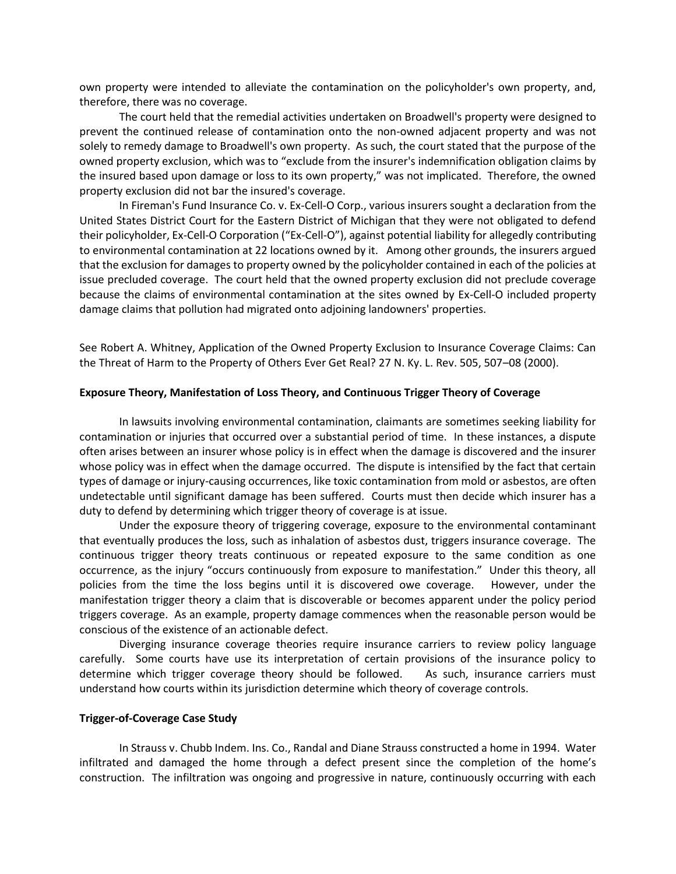own property were intended to alleviate the contamination on the policyholder's own property, and, therefore, there was no coverage.

The court held that the remedial activities undertaken on Broadwell's property were designed to prevent the continued release of contamination onto the non-owned adjacent property and was not solely to remedy damage to Broadwell's own property. As such, the court stated that the purpose of the owned property exclusion, which was to "exclude from the insurer's indemnification obligation claims by the insured based upon damage or loss to its own property," was not implicated. Therefore, the owned property exclusion did not bar the insured's coverage.

In Fireman's Fund Insurance Co. v. Ex-Cell-O Corp., various insurers sought a declaration from the United States District Court for the Eastern District of Michigan that they were not obligated to defend their policyholder, Ex-Cell-O Corporation ("Ex-Cell-O"), against potential liability for allegedly contributing to environmental contamination at 22 locations owned by it. Among other grounds, the insurers argued that the exclusion for damages to property owned by the policyholder contained in each of the policies at issue precluded coverage. The court held that the owned property exclusion did not preclude coverage because the claims of environmental contamination at the sites owned by Ex-Cell-O included property damage claims that pollution had migrated onto adjoining landowners' properties.

See Robert A. Whitney, Application of the Owned Property Exclusion to Insurance Coverage Claims: Can the Threat of Harm to the Property of Others Ever Get Real? 27 N. Ky. L. Rev. 505, 507–08 (2000).

#### **Exposure Theory, Manifestation of Loss Theory, and Continuous Trigger Theory of Coverage**

In lawsuits involving environmental contamination, claimants are sometimes seeking liability for contamination or injuries that occurred over a substantial period of time. In these instances, a dispute often arises between an insurer whose policy is in effect when the damage is discovered and the insurer whose policy was in effect when the damage occurred. The dispute is intensified by the fact that certain types of damage or injury-causing occurrences, like toxic contamination from mold or asbestos, are often undetectable until significant damage has been suffered. Courts must then decide which insurer has a duty to defend by determining which trigger theory of coverage is at issue.

Under the exposure theory of triggering coverage, exposure to the environmental contaminant that eventually produces the loss, such as inhalation of asbestos dust, triggers insurance coverage. The continuous trigger theory treats continuous or repeated exposure to the same condition as one occurrence, as the injury "occurs continuously from exposure to manifestation." Under this theory, all policies from the time the loss begins until it is discovered owe coverage. However, under the manifestation trigger theory a claim that is discoverable or becomes apparent under the policy period triggers coverage. As an example, property damage commences when the reasonable person would be conscious of the existence of an actionable defect.

Diverging insurance coverage theories require insurance carriers to review policy language carefully. Some courts have use its interpretation of certain provisions of the insurance policy to determine which trigger coverage theory should be followed. As such, insurance carriers must understand how courts within its jurisdiction determine which theory of coverage controls.

# **Trigger-of-Coverage Case Study**

In Strauss v. Chubb Indem. Ins. Co., Randal and Diane Strauss constructed a home in 1994. Water infiltrated and damaged the home through a defect present since the completion of the home's construction. The infiltration was ongoing and progressive in nature, continuously occurring with each